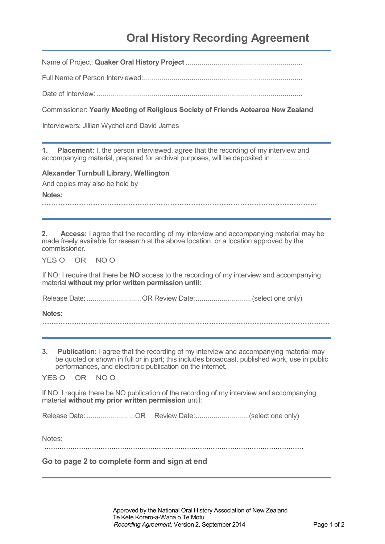# **Oral History Recording Agreement**

Name of Project: **Quaker Oral History Project**..........................................................

Full Name of Person Interviewed:...............................................................................

Date of Interview: ......................................................................................................

Commissioner: **Yearly Meeting of Religious Society of Friends Aotearoa New Zealand**

Interviewers: Jillian Wychel and David James

**1. Placement:** I, the person interviewed, agree that the recording of my interview and accompanying material, prepared for archival purposes, will be deposited in..................

**Alexander Turnbull Library, Wellington** 

And copies may also be held by

**Notes:**

**2. Access:** I agree that the recording of my interview and accompanying material may be made freely available for research at the above location, or a location approved by the commissioner.

YES O OR NO O

If NO: I require that there be **NO** access to the recording of my interview and accompanying material **without my prior written permission until:**

Release Date: .................................OR Review Date: .................................(select one only)

**Notes:**

**………………………………………………………………………………………………………………**

**3. Publication:** I agree that the recording of my interview and accompanying material may be quoted or shown in full or in part; this includes broadcast, published work, use in public performances, and electronic publication on the internet.

YES O OR NO O

If NO: I require there be NO publication of the recording of my interview and accompanying material **without my prior written permission** until:

Release Date: .........................OR Review Date:..............................(select one only)

Notes:

**Go to page 2 to complete form and sign at end**